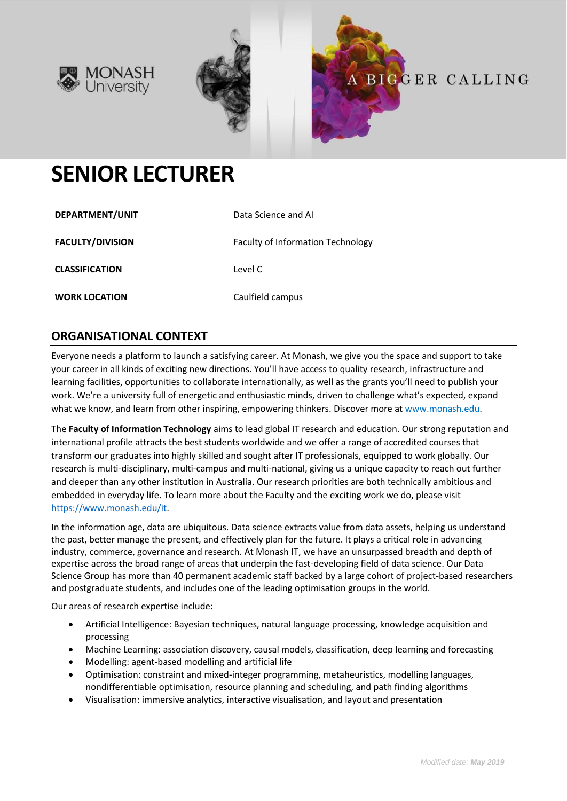





# **SENIOR LECTURER**

| DEPARTMENT/UNIT         | Data Science and AI                      |
|-------------------------|------------------------------------------|
| <b>FACULTY/DIVISION</b> | <b>Faculty of Information Technology</b> |
| <b>CLASSIFICATION</b>   | Level C                                  |
| <b>WORK LOCATION</b>    | Caulfield campus                         |

## **ORGANISATIONAL CONTEXT**

Everyone needs a platform to launch a satisfying career. At Monash, we give you the space and support to take your career in all kinds of exciting new directions. You'll have access to quality research, infrastructure and learning facilities, opportunities to collaborate internationally, as well as the grants you'll need to publish your work. We're a university full of energetic and enthusiastic minds, driven to challenge what's expected, expand what we know, and learn from other inspiring, empowering thinkers. Discover more a[t www.monash.edu.](http://www.monash.edu/)

The **Faculty of Information Technology** aims to lead global IT research and education. Our strong reputation and international profile attracts the best students worldwide and we offer a range of accredited courses that transform our graduates into highly skilled and sought after IT professionals, equipped to work globally. Our research is multi-disciplinary, multi-campus and multi-national, giving us a unique capacity to reach out further and deeper than any other institution in Australia. Our research priorities are both technically ambitious and embedded in everyday life. To learn more about the Faculty and the exciting work we do, please visit [https://www.monash.edu/it.](https://www.monash.edu/it)

In the information age, data are ubiquitous. Data science extracts value from data assets, helping us understand the past, better manage the present, and effectively plan for the future. It plays a critical role in advancing industry, commerce, governance and research. At Monash IT, we have an unsurpassed breadth and depth of expertise across the broad range of areas that underpin the fast-developing field of data science. Our Data Science Group has more than 40 permanent academic staff backed by a large cohort of project-based researchers and postgraduate students, and includes one of the leading optimisation groups in the world.

Our areas of research expertise include:

- Artificial Intelligence: Bayesian techniques, natural language processing, knowledge acquisition and processing
- Machine Learning: association discovery, causal models, classification, deep learning and forecasting
- Modelling: agent-based modelling and artificial life
- Optimisation: constraint and mixed-integer programming, metaheuristics, modelling languages, nondifferentiable optimisation, resource planning and scheduling, and path finding algorithms
- Visualisation: immersive analytics, interactive visualisation, and layout and presentation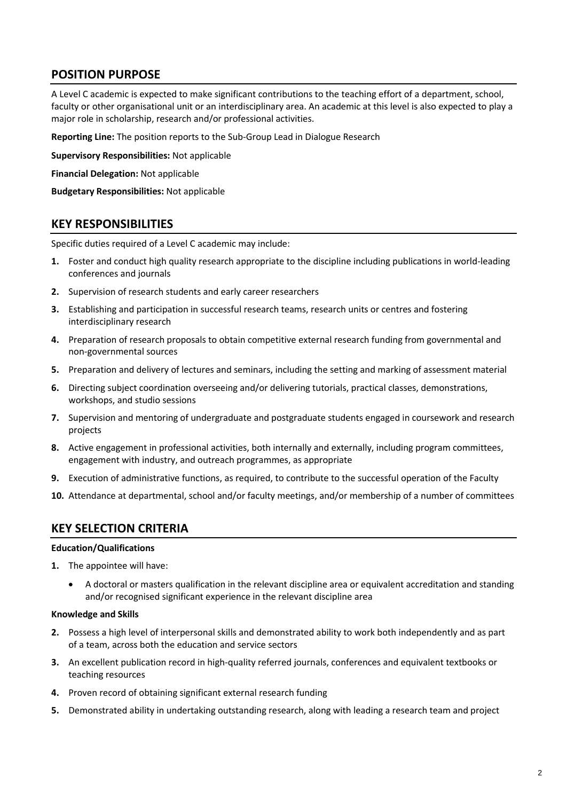# **POSITION PURPOSE**

A Level C academic is expected to make significant contributions to the teaching effort of a department, school, faculty or other organisational unit or an interdisciplinary area. An academic at this level is also expected to play a major role in scholarship, research and/or professional activities.

**Reporting Line:** The position reports to the Sub-Group Lead in Dialogue Research

**Supervisory Responsibilities:** Not applicable

**Financial Delegation:** Not applicable

**Budgetary Responsibilities:** Not applicable

### **KEY RESPONSIBILITIES**

Specific duties required of a Level C academic may include:

- **1.** Foster and conduct high quality research appropriate to the discipline including publications in world-leading conferences and journals
- **2.** Supervision of research students and early career researchers
- **3.** Establishing and participation in successful research teams, research units or centres and fostering interdisciplinary research
- **4.** Preparation of research proposals to obtain competitive external research funding from governmental and non-governmental sources
- **5.** Preparation and delivery of lectures and seminars, including the setting and marking of assessment material
- **6.** Directing subject coordination overseeing and/or delivering tutorials, practical classes, demonstrations, workshops, and studio sessions
- **7.** Supervision and mentoring of undergraduate and postgraduate students engaged in coursework and research projects
- **8.** Active engagement in professional activities, both internally and externally, including program committees, engagement with industry, and outreach programmes, as appropriate
- **9.** Execution of administrative functions, as required, to contribute to the successful operation of the Faculty
- **10.** Attendance at departmental, school and/or faculty meetings, and/or membership of a number of committees

### **KEY SELECTION CRITERIA**

#### **Education/Qualifications**

- **1.** The appointee will have:
	- A doctoral or masters qualification in the relevant discipline area or equivalent accreditation and standing and/or recognised significant experience in the relevant discipline area

#### **Knowledge and Skills**

- **2.** Possess a high level of interpersonal skills and demonstrated ability to work both independently and as part of a team, across both the education and service sectors
- **3.** An excellent publication record in high-quality referred journals, conferences and equivalent textbooks or teaching resources
- **4.** Proven record of obtaining significant external research funding
- **5.** Demonstrated ability in undertaking outstanding research, along with leading a research team and project